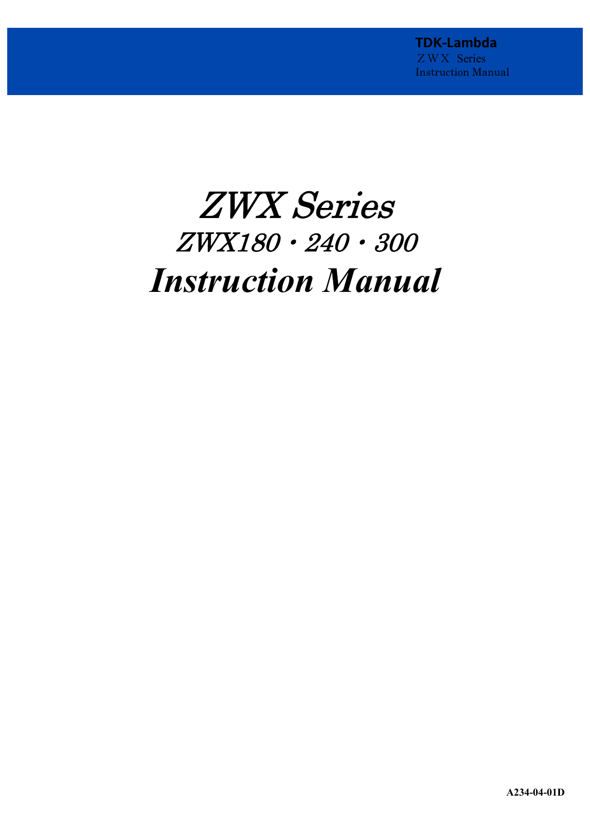# ZWX Series ZWX180・240・300 *Instruction Manual*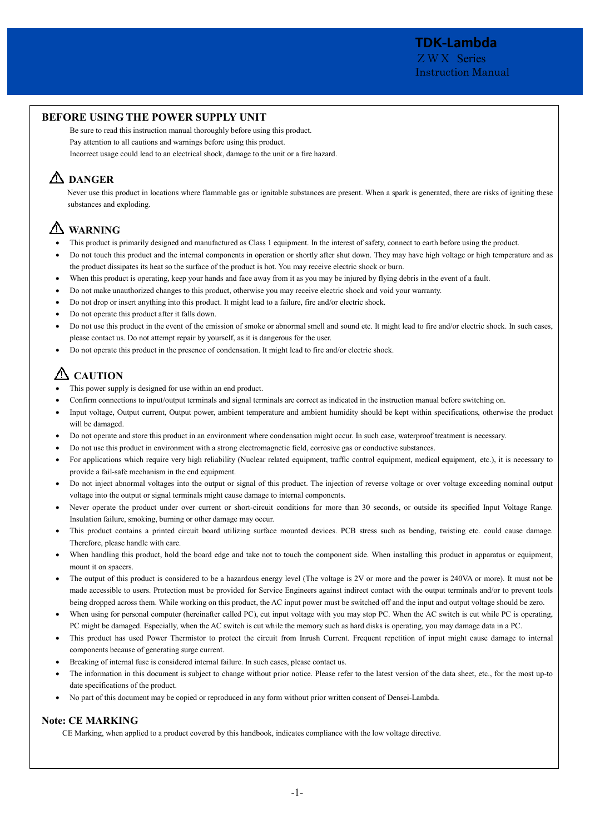# **BEFORE USING THE POWER SUPPLY UNIT**

Be sure to read this instruction manual thoroughly before using this product. Pay attention to all cautions and warnings before using this product. Incorrect usage could lead to an electrical shock, damage to the unit or a fire hazard.

# **DANGER**

Never use this product in locations where flammable gas or ignitable substances are present. When a spark is generated, there are risks of igniting these substances and exploding.

# **WARNING**

- · This product is primarily designed and manufactured as Class 1 equipment. In the interest of safety, connect to earth before using the product.
- · Do not touch this product and the internal components in operation or shortly after shut down. They may have high voltage or high temperature and as the product dissipates its heat so the surface of the product is hot. You may receive electric shock or burn.
- When this product is operating, keep your hands and face away from it as you may be injured by flying debris in the event of a fault.
- · Do not make unauthorized changes to this product, otherwise you may receive electric shock and void your warranty.
- · Do not drop or insert anything into this product. It might lead to a failure, fire and/or electric shock.
- Do not operate this product after it falls down.
- Do not use this product in the event of the emission of smoke or abnormal smell and sound etc. It might lead to fire and/or electric shock. In such cases, please contact us. Do not attempt repair by yourself, as it is dangerous for the user.
- · Do not operate this product in the presence of condensation. It might lead to fire and/or electric shock.

# **CAUTION**

- This power supply is designed for use within an end product.
- · Confirm connections to input/output terminals and signal terminals are correct as indicated in the instruction manual before switching on.
- · Input voltage, Output current, Output power, ambient temperature and ambient humidity should be kept within specifications, otherwise the product will be damaged.
- · Do not operate and store this product in an environment where condensation might occur. In such case, waterproof treatment is necessary.
- · Do not use this product in environment with a strong electromagnetic field, corrosive gas or conductive substances.
- For applications which require very high reliability (Nuclear related equipment, traffic control equipment, medical equipment, etc.), it is necessary to provide a fail-safe mechanism in the end equipment.
- · Do not inject abnormal voltages into the output or signal of this product. The injection of reverse voltage or over voltage exceeding nominal output voltage into the output or signal terminals might cause damage to internal components.
- Never operate the product under over current or short-circuit conditions for more than 30 seconds, or outside its specified Input Voltage Range. Insulation failure, smoking, burning or other damage may occur.
- · This product contains a printed circuit board utilizing surface mounted devices. PCB stress such as bending, twisting etc. could cause damage. Therefore, please handle with care.
- When handling this product, hold the board edge and take not to touch the component side. When installing this product in apparatus or equipment, mount it on spacers.
- The output of this product is considered to be a hazardous energy level (The voltage is 2V or more and the power is 240VA or more). It must not be made accessible to users. Protection must be provided for Service Engineers against indirect contact with the output terminals and/or to prevent tools being dropped across them. While working on this product, the AC input power must be switched off and the input and output voltage should be zero.
- When using for personal computer (hereinafter called PC), cut input voltage with you may stop PC. When the AC switch is cut while PC is operating, PC might be damaged. Especially, when the AC switch is cut while the memory such as hard disks is operating, you may damage data in a PC.
- · This product has used Power Thermistor to protect the circuit from Inrush Current. Frequent repetition of input might cause damage to internal components because of generating surge current.
- Breaking of internal fuse is considered internal failure. In such cases, please contact us.
- The information in this document is subject to change without prior notice. Please refer to the latest version of the data sheet, etc., for the most up-to date specifications of the product.
- · No part of this document may be copied or reproduced in any form without prior written consent of Densei-Lambda.

# **Note: CE MARKING**

CE Marking, when applied to a product covered by this handbook, indicates compliance with the low voltage directive.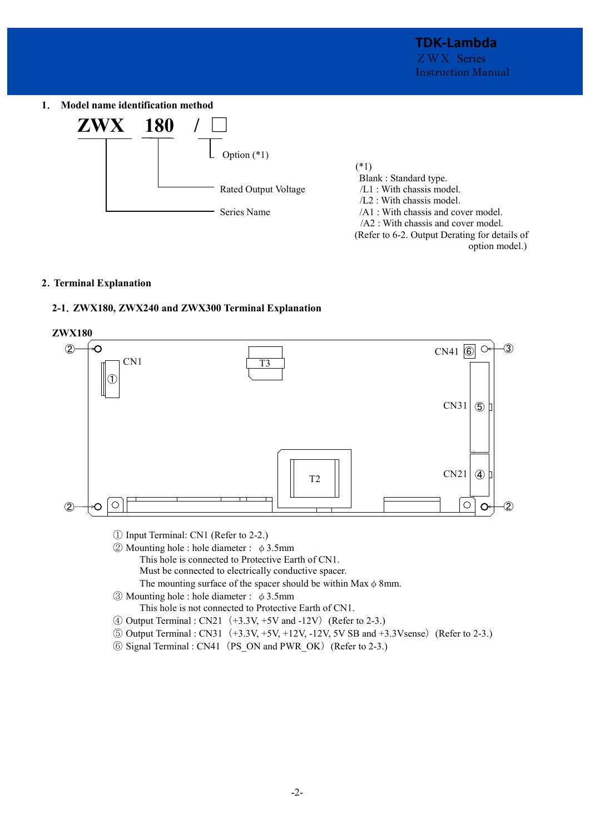**1**. **Model name identification method** 



# **2**.**Terminal Explanation**

# **2-1**.**ZWX180, ZWX240 and ZWX300 Terminal Explanation**



- ① Input Terminal: CN1 (Refer to 2-2.)
- $\odot$  Mounting hole : hole diameter : φ3.5mm

This hole is connected to Protective Earth of CN1.

Must be connected to electrically conductive spacer.

The mounting surface of the spacer should be within Max  $\phi$  8mm.

- $\circled{3}$  Mounting hole : hole diameter : φ3.5mm
	- This hole is not connected to Protective Earth of CN1.
- $\textcircled{4}$  Output Terminal : CN21  $(+3.3V, +5V$  and -12V) (Refer to 2-3.)
- ⑤ Output Terminal : CN31(+3.3V, +5V, +12V, -12V, 5V SB and +3.3Vsense)(Refer to 2-3.)
- ⑥ Signal Terminal : CN41(PS\_ON and PWR\_OK)(Refer to 2-3.)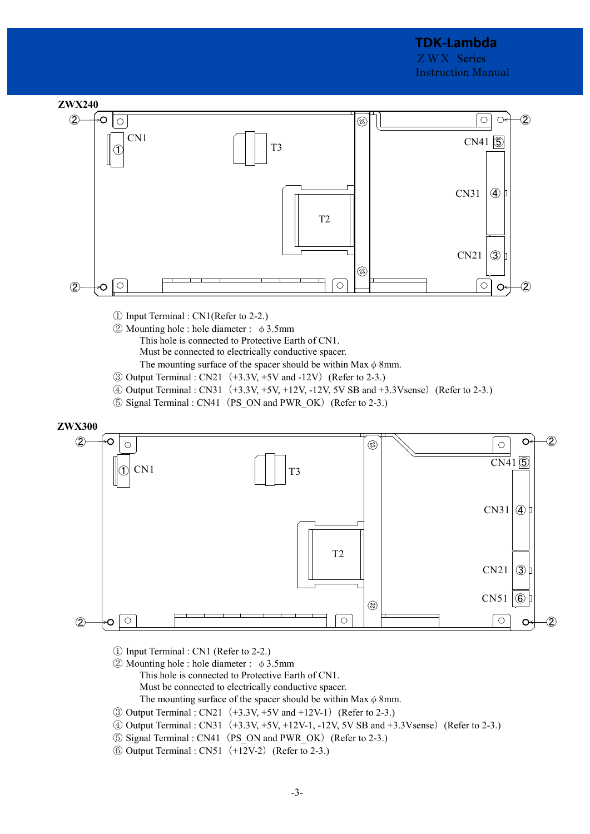

- ① Input Terminal : CN1(Refer to 2-2.)
- $\textcircled{2}$  Mounting hole : hole diameter :  $\phi$  3.5mm
	- This hole is connected to Protective Earth of CN1. Must be connected to electrically conductive spacer.
	- The mounting surface of the spacer should be within Max  $\phi$  8mm.
- $\textcircled{3}$  Output Terminal : CN21  $(+3.3V, +5V$  and -12V) (Refer to 2-3.)
- ④ Output Terminal : CN31(+3.3V, +5V, +12V, -12V, 5V SB and +3.3Vsense)(Refer to 2-3.)
- ⑤ Signal Terminal : CN41(PS\_ON and PWR\_OK)(Refer to 2-3.)



- ① Input Terminal : CN1 (Refer to 2-2.)
- $\textcircled{2}$  Mounting hole : hole diameter : φ3.5mm This hole is connected to Protective Earth of CN1. Must be connected to electrically conductive spacer.

The mounting surface of the spacer should be within Max  $\phi$  8mm.

- $\textcircled{3}$  Output Terminal : CN21  $(+3.3V, +5V$  and  $+12V-1)$  (Refer to 2-3.)
- $\textcircled{4}$  Output Terminal : CN31 (+3.3V, +5V, +12V-1, -12V, 5V SB and +3.3Vsense) (Refer to 2-3.)
- ⑤ Signal Terminal : CN41(PS\_ON and PWR\_OK)(Refer to 2-3.)
- ⑥ Output Terminal : CN51(+12V-2)(Refer to 2-3.)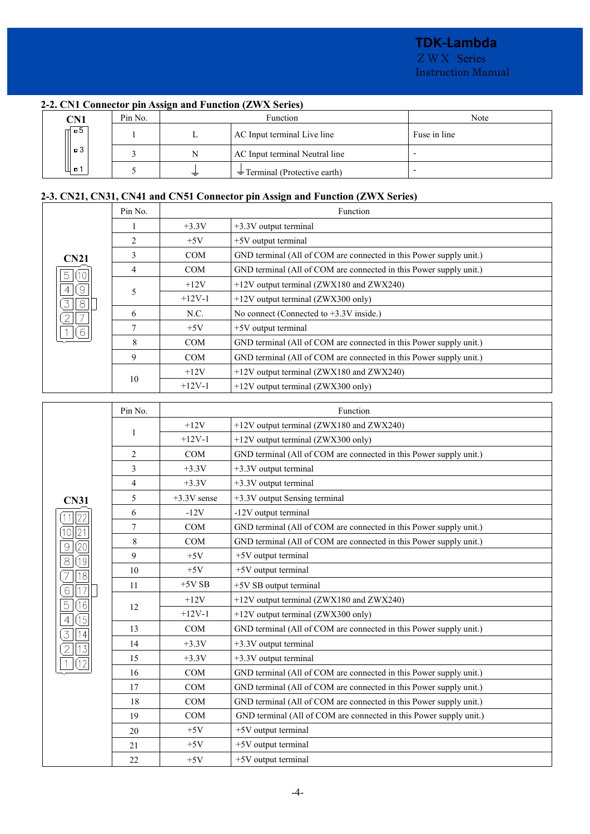ZWX Series Instruction Manual

# **2-2. CN1 Connector pin Assign and Function (ZWX Series)**

| CN1    | Pin No. |   | <b>Function</b>                   | Note         |
|--------|---------|---|-----------------------------------|--------------|
| $\Box$ |         | ≖ | AC Input terminal Live line       | Fuse in line |
| □ 3    |         | N | AC Input terminal Neutral line    |              |
| ι□'    |         | ≐ | $\pm$ Terminal (Protective earth) |              |

# **2-3. CN21, CN31, CN41 and CN51 Connector pin Assign and Function (ZWX Series)**

|                                          | Pin No.          | Function                     |                                                                    |  |  |  |
|------------------------------------------|------------------|------------------------------|--------------------------------------------------------------------|--|--|--|
|                                          |                  | $+3.3V$                      | +3.3V output terminal                                              |  |  |  |
|                                          | $\overline{2}$   | $+5V$                        | +5V output terminal                                                |  |  |  |
| <b>CN21</b>                              | 3                | <b>COM</b>                   | GND terminal (All of COM are connected in this Power supply unit.) |  |  |  |
| (10)<br>5                                | $\overline{4}$   | <b>COM</b>                   | GND terminal (All of COM are connected in this Power supply unit.) |  |  |  |
| $\left( \circ \right)$<br>$\overline{4}$ |                  | $+12V$                       | +12V output terminal (ZWX180 and ZWX240)                           |  |  |  |
| $\overline{8}$<br>3                      | 5                | $+12V-1$                     | +12V output terminal (ZWX300 only)                                 |  |  |  |
| $\overline{\mathcal{I}}$                 | 6                | N.C.                         | No connect (Connected to $+3.3V$ inside.)                          |  |  |  |
| 6                                        | $\boldsymbol{7}$ | $+5V$                        | +5V output terminal                                                |  |  |  |
|                                          | 8                | <b>COM</b>                   | GND terminal (All of COM are connected in this Power supply unit.) |  |  |  |
|                                          | 9                | COM                          | GND terminal (All of COM are connected in this Power supply unit.) |  |  |  |
|                                          |                  | $+12V$                       | +12V output terminal (ZWX180 and ZWX240)                           |  |  |  |
|                                          | 10               | $+12V-1$                     | +12V output terminal (ZWX300 only)                                 |  |  |  |
|                                          |                  |                              |                                                                    |  |  |  |
|                                          | Pin No.          |                              | Function                                                           |  |  |  |
|                                          | $\mathbf{1}$     | $+12V$                       | +12V output terminal (ZWX180 and ZWX240)                           |  |  |  |
|                                          |                  | $+12V-1$                     | +12V output terminal (ZWX300 only)                                 |  |  |  |
|                                          | $\overline{2}$   | <b>COM</b>                   | GND terminal (All of COM are connected in this Power supply unit.) |  |  |  |
|                                          | 3                | $+3.3V$                      | +3.3V output terminal                                              |  |  |  |
|                                          | $\overline{4}$   | $+3.3V$                      | +3.3V output terminal                                              |  |  |  |
| <b>CN31</b>                              | 5                | $+3.3V$ sense                | +3.3V output Sensing terminal                                      |  |  |  |
| 22                                       | 6                | $-12V$                       | -12V output terminal                                               |  |  |  |
| 10  21                                   | $\tau$           | <b>COM</b>                   | GND terminal (All of COM are connected in this Power supply unit.) |  |  |  |
| (20)<br>$\Theta$                         | 8                | COM                          | GND terminal (All of COM are connected in this Power supply unit.) |  |  |  |
| $\rm 8$<br>(19)                          | 9                | $+5V$                        | +5V output terminal                                                |  |  |  |
| 18                                       | 10               | $+5V$<br>+5V output terminal |                                                                    |  |  |  |
| $\overline{17}$<br>6                     | 11               | $+5VSB$                      | +5V SB output terminal                                             |  |  |  |
| 5<br>(16)                                | 12               | $+12V$                       | +12V output terminal (ZWX180 and ZWX240)                           |  |  |  |
| (15)<br>$\overline{4}$                   |                  | $+12V-1$                     | +12V output terminal (ZWX300 only)                                 |  |  |  |
| 3<br>$\vert 4$                           | 13               | <b>COM</b>                   | GND terminal (All of COM are connected in this Power supply unit.) |  |  |  |
| $\boxed{2}$ [13]                         | 14               | $+3.3V$                      | +3.3V output terminal                                              |  |  |  |
|                                          | 15               | $+3.3V$                      | +3.3V output terminal                                              |  |  |  |
|                                          | 16               | <b>COM</b>                   | GND terminal (All of COM are connected in this Power supply unit.) |  |  |  |
|                                          | 17               | COM                          | GND terminal (All of COM are connected in this Power supply unit.) |  |  |  |
|                                          | 18               | $\mathop{\rm COM}\nolimits$  | GND terminal (All of COM are connected in this Power supply unit.) |  |  |  |
|                                          | 19               | <b>COM</b>                   | GND terminal (All of COM are connected in this Power supply unit.) |  |  |  |
|                                          | 20               | $+5V$                        | +5V output terminal                                                |  |  |  |
|                                          | 21               | $+5V$                        | +5V output terminal                                                |  |  |  |
|                                          | 22               | $+5V$                        | +5V output terminal                                                |  |  |  |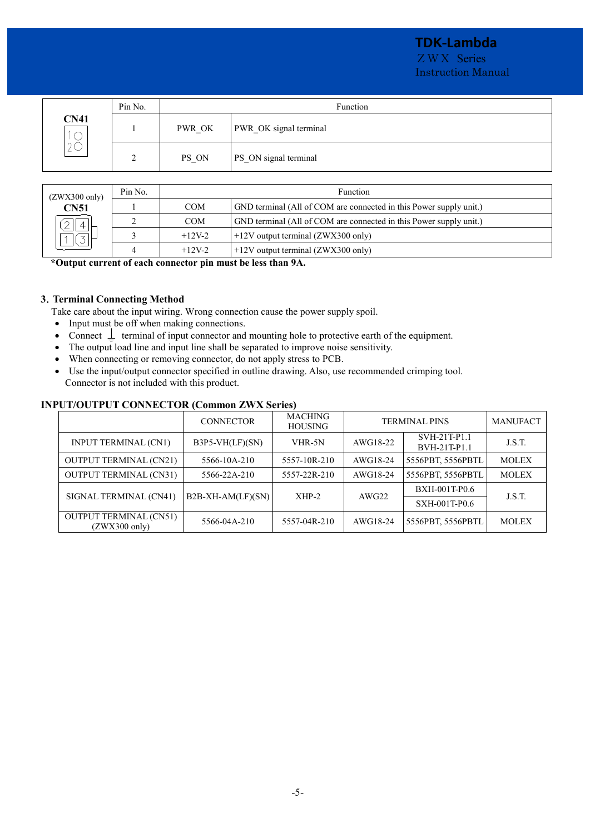# **TDK-Lambda**

ZWX Series Instruction Manual

|                                                     | Pin No. | Function |                        |  |  |
|-----------------------------------------------------|---------|----------|------------------------|--|--|
| <b>CN41</b><br>$\overline{\phantom{0}}$<br>$\asymp$ |         | PWR OK   | PWR OK signal terminal |  |  |
| ∠∨                                                  | ∍<br>∠  | PS ON    | PS_ON signal terminal  |  |  |

| $(ZWX300 \text{ only})$<br><b>CN51</b> | Pin No. |            | <b>Function</b>                                                    |  |  |  |  |
|----------------------------------------|---------|------------|--------------------------------------------------------------------|--|--|--|--|
|                                        |         | <b>COM</b> | GND terminal (All of COM are connected in this Power supply unit.) |  |  |  |  |
|                                        |         | <b>COM</b> | GND terminal (All of COM are connected in this Power supply unit.) |  |  |  |  |
|                                        |         | $+12V-2$   | $+12V$ output terminal (ZWX300 only)                               |  |  |  |  |
|                                        |         | $+12V-2$   | $+12V$ output terminal (ZWX300 only)                               |  |  |  |  |

**\*Output current of each connector pin must be less than 9A.** 

# **3**.**Terminal Connecting Method**

Take care about the input wiring. Wrong connection cause the power supply spoil.

- · Input must be off when making connections.
- Connect  $\perp$  terminal of input connector and mounting hole to protective earth of the equipment.
- The output load line and input line shall be separated to improve noise sensitivity.
- · When connecting or removing connector, do not apply stress to PCB.
- · Use the input/output connector specified in outline drawing. Also, use recommended crimping tool. Connector is not included with this product.

# **INPUT/OUTPUT CONNECTOR (Common ZWX Series)**

|                                                          | <b>CONNECTOR</b>    | <b>MACHING</b><br><b>HOUSING</b> |          | <b>TERMINAL PINS</b>         | <b>MANUFACT</b> |
|----------------------------------------------------------|---------------------|----------------------------------|----------|------------------------------|-----------------|
| <b>INPUT TERMINAL (CN1)</b>                              | $B3P5-VH(LF)(SN)$   | VHR-5N                           | AWG18-22 | SVH-21T-P1.1<br>BVH-21T-P1.1 | J.S.T.          |
| <b>OUTPUT TERMINAL (CN21)</b>                            | 5566-10A-210        | 5557-10R-210                     | AWG18-24 | 5556PBT, 5556PBTL            | <b>MOLEX</b>    |
| <b>OUTPUT TERMINAL (CN31)</b>                            | 5566-22A-210        | 5557-22R-210                     | AWG18-24 | 5556PBT, 5556PBTL            | <b>MOLEX</b>    |
| SIGNAL TERMINAL (CN41)                                   | $B2B-XH-AM(LF)(SN)$ | $XHP-2$                          | AWG22    | <b>BXH-001T-P0.6</b>         | J.S.T.          |
|                                                          |                     |                                  |          | SXH-001T-P0.6                |                 |
| <b>OUTPUT TERMINAL (CN51)</b><br>$(ZWX300 \text{ only})$ | 5566-04A-210        | 5557-04R-210                     | AWG18-24 | 5556PBT, 5556PBTL            | <b>MOLEX</b>    |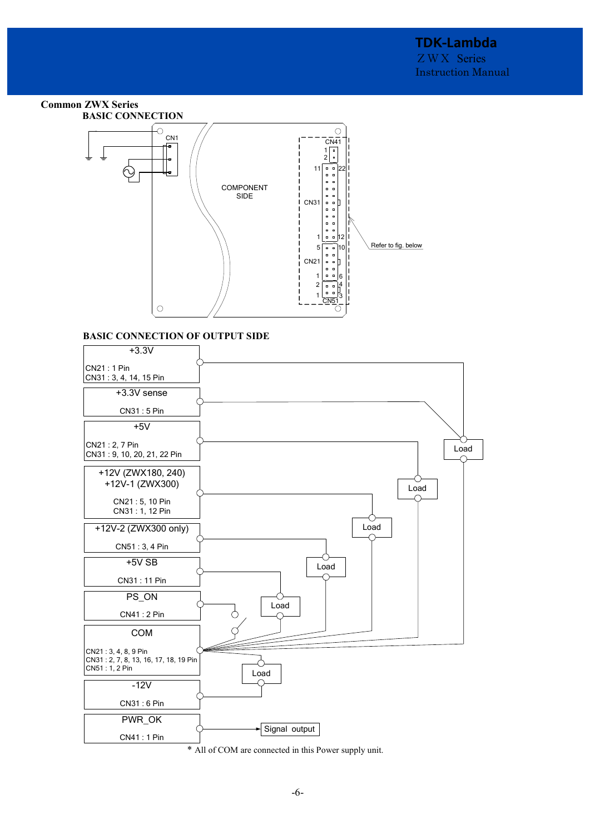# **Common ZWX Series BASIC CONNECTION**



# **BASIC CONNECTION OF OUTPUT SIDE**



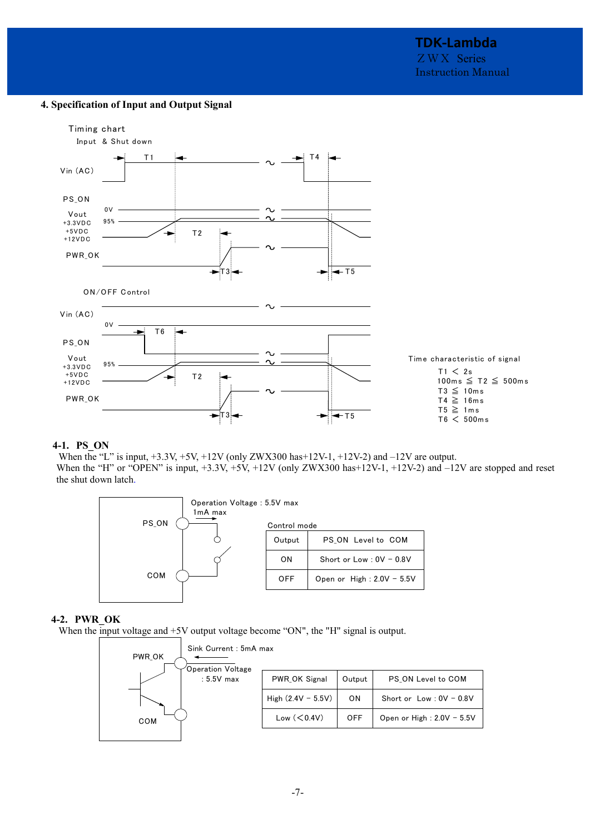# **4. Specification of Input and Output Signal**



# **4-1. PS\_ON**

When the "L" is input,  $+3.3V$ ,  $+5V$ ,  $+12V$  (only ZWX300 has $+12V-1$ ,  $+12V-2$ ) and  $-12V$  are output. When the "H" or "OPEN" is input,  $+3.3V$ ,  $+5V$ ,  $+12V$  (only ZWX300 has $+12V-1$ ,  $+12V-2$ ) and  $-12V$  are stopped and reset the shut down latch.



#### **4-2. PWR\_OK**

When the input voltage and  $+5V$  output voltage become "ON", the "H" signal is output.

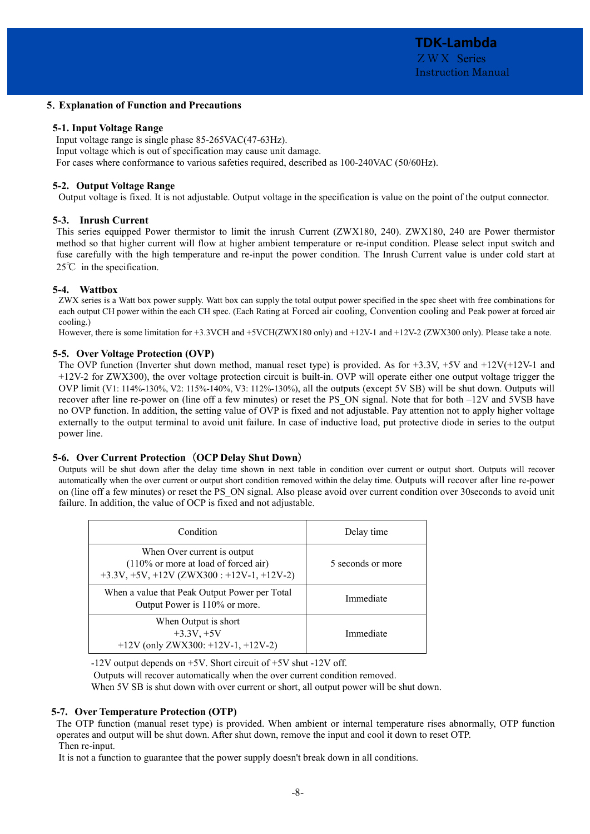#### **5**.**Explanation of Function and Precautions**

#### **5-1. Input Voltage Range**

Input voltage range is single phase 85-265VAC(47-63Hz). Input voltage which is out of specification may cause unit damage. For cases where conformance to various safeties required, described as 100-240VAC (50/60Hz).

#### **5-2. Output Voltage Range**

Output voltage is fixed. It is not adjustable. Output voltage in the specification is value on the point of the output connector.

#### **5-3. Inrush Current**

This series equipped Power thermistor to limit the inrush Current (ZWX180, 240). ZWX180, 240 are Power thermistor method so that higher current will flow at higher ambient temperature or re-input condition. Please select input switch and fuse carefully with the high temperature and re-input the power condition. The Inrush Current value is under cold start at 25<sup>°</sup>C in the specification.

# **5-4. Wattbox**

ZWX series is a Watt box power supply. Watt box can supply the total output power specified in the spec sheet with free combinations for each output CH power within the each CH spec. (Each Rating at Forced air cooling, Convention cooling and Peak power at forced air cooling.)

However, there is some limitation for +3.3VCH and +5VCH(ZWX180 only) and +12V-1 and +12V-2 (ZWX300 only). Please take a note.

# **5-5. Over Voltage Protection (OVP)**

The OVP function (Inverter shut down method, manual reset type) is provided. As for  $+3.3V$ ,  $+5V$  and  $+12V(+12V-1)$  and +12V-2 for ZWX300), the over voltage protection circuit is built-in. OVP will operate either one output voltage trigger the OVP limit (V1: 114%-130%, V2: 115%-140%, V3: 112%-130%), all the outputs (except 5V SB) will be shut down. Outputs will recover after line re-power on (line off a few minutes) or reset the PS\_ON signal. Note that for both –12V and 5VSB have no OVP function. In addition, the setting value of OVP is fixed and not adjustable. Pay attention not to apply higher voltage externally to the output terminal to avoid unit failure. In case of inductive load, put protective diode in series to the output power line.

# **5-6. Over Current Protection** (**OCP Delay Shut Down**)

Outputs will be shut down after the delay time shown in next table in condition over current or output short. Outputs will recover automatically when the over current or output short condition removed within the delay time. Outputs will recover after line re-power on (line off a few minutes) or reset the PS\_ON signal. Also please avoid over current condition over 30seconds to avoid unit failure. In addition, the value of OCP is fixed and not adjustable.

| Condition                                                                                                                      | Delay time        |
|--------------------------------------------------------------------------------------------------------------------------------|-------------------|
| When Over current is output<br>$(110\% \text{ or more at load of forced air})$<br>$+3.3V, +5V, +12V (ZWX300 : +12V-1, +12V-2)$ | 5 seconds or more |
| When a value that Peak Output Power per Total<br>Output Power is 110% or more.                                                 | Immediate         |
| When Output is short<br>$+3.3V, +5V$<br>$+12V$ (only ZWX300: +12V-1, +12V-2)                                                   | Immediate         |

-12V output depends on +5V. Short circuit of +5V shut -12V off.

Outputs will recover automatically when the over current condition removed.

When 5V SB is shut down with over current or short, all output power will be shut down.

# **5-7. Over Temperature Protection (OTP)**

The OTP function (manual reset type) is provided. When ambient or internal temperature rises abnormally, OTP function operates and output will be shut down. After shut down, remove the input and cool it down to reset OTP. Then re-input.

It is not a function to guarantee that the power supply doesn't break down in all conditions.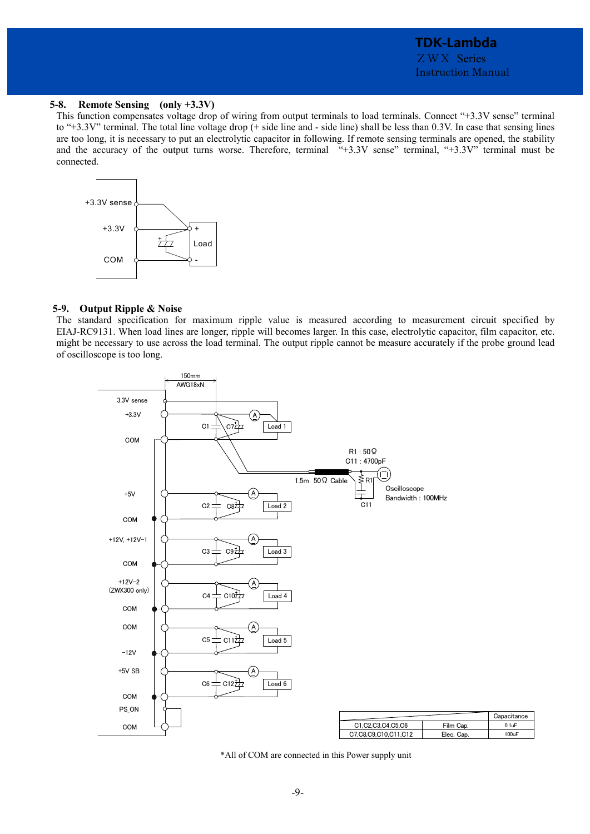0.1uF 100uF **Capacitance** 

#### **5-8. Remote Sensing (only +3.3V)**

This function compensates voltage drop of wiring from output terminals to load terminals. Connect "+3.3V sense" terminal to "+3.3V" terminal. The total line voltage drop (+ side line and - side line) shall be less than 0.3V. In case that sensing lines are too long, it is necessary to put an electrolytic capacitor in following. If remote sensing terminals are opened, the stability and the accuracy of the output turns worse. Therefore, terminal "+3.3V sense" terminal, "+3.3V" terminal must be connected.



#### **5-9. Output Ripple & Noise**

The standard specification for maximum ripple value is measured according to measurement circuit specified by EIAJ-RC9131. When load lines are longer, ripple will becomes larger. In this case, electrolytic capacitor, film capacitor, etc. might be necessary to use across the load terminal. The output ripple cannot be measure accurately if the probe ground lead of oscilloscope is too long.



\*All of COM are connected in this Power supply unit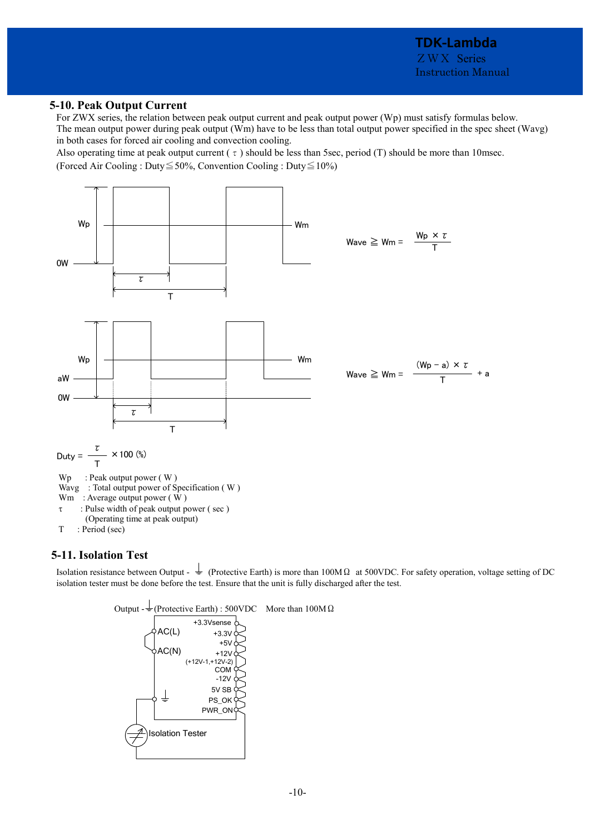# **5-10. Peak Output Current**

For ZWX series, the relation between peak output current and peak output power (Wp) must satisfy formulas below. The mean output power during peak output (Wm) have to be less than total output power specified in the spec sheet (Wavg) in both cases for forced air cooling and convection cooling.

Also operating time at peak output current ( $\tau$ ) should be less than 5sec, period (T) should be more than 10msec. (Forced Air Cooling : Duty≦50%, Convention Cooling : Duty≦10%)



# **5-11. Isolation Test**

Isolation resistance between Output -  $\frac{1}{2}$  (Protective Earth) is more than 100MΩ at 500VDC. For safety operation, voltage setting of DC isolation tester must be done before the test. Ensure that the unit is fully discharged after the test.

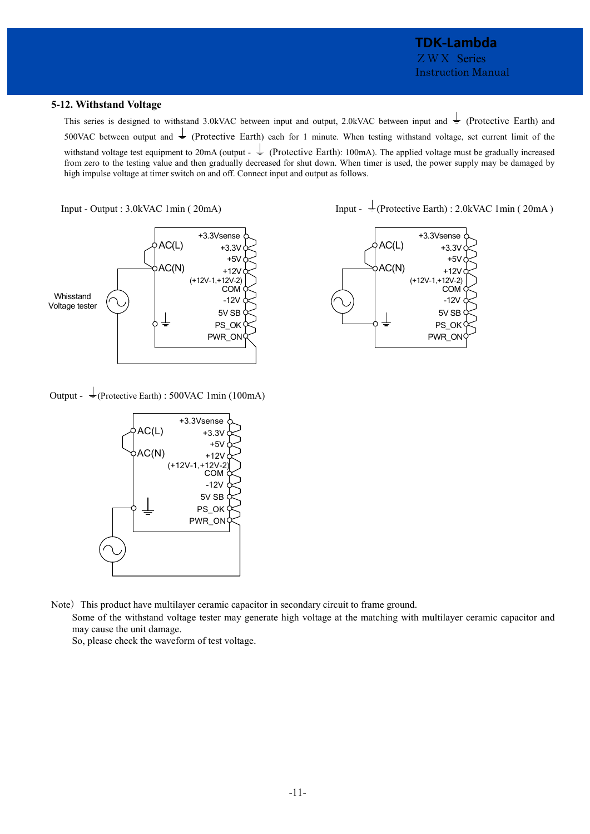# **TDK-Lambda**  ZWX Series Instruction Manual

# **5-12. Withstand Voltage**

This series is designed to withstand 3.0kVAC between input and output, 2.0kVAC between input and  $\frac{1}{\epsilon}$  (Protective Earth) and 500VAC between output and  $\pm$  (Protective Earth) each for 1 minute. When testing withstand voltage, set current limit of the withstand voltage test equipment to 20mA (output -  $\frac{1}{\epsilon}$  (Protective Earth): 100mA). The applied voltage must be gradually increased from zero to the testing value and then gradually decreased for shut down. When timer is used, the power supply may be damaged by

high impulse voltage at timer switch on and off. Connect input and output as follows.



Output -  $\frac{1}{2}$ (Protective Earth) : 500VAC 1min (100mA)



Note) This product have multilayer ceramic capacitor in secondary circuit to frame ground.

Some of the withstand voltage tester may generate high voltage at the matching with multilayer ceramic capacitor and may cause the unit damage.

So, please check the waveform of test voltage.

Input - Output : 3.0kVAC 1min (  $20mA$ ) Input -  $\frac{1}{2}$  (Protective Earth) : 2.0kVAC 1min (  $20mA$  )

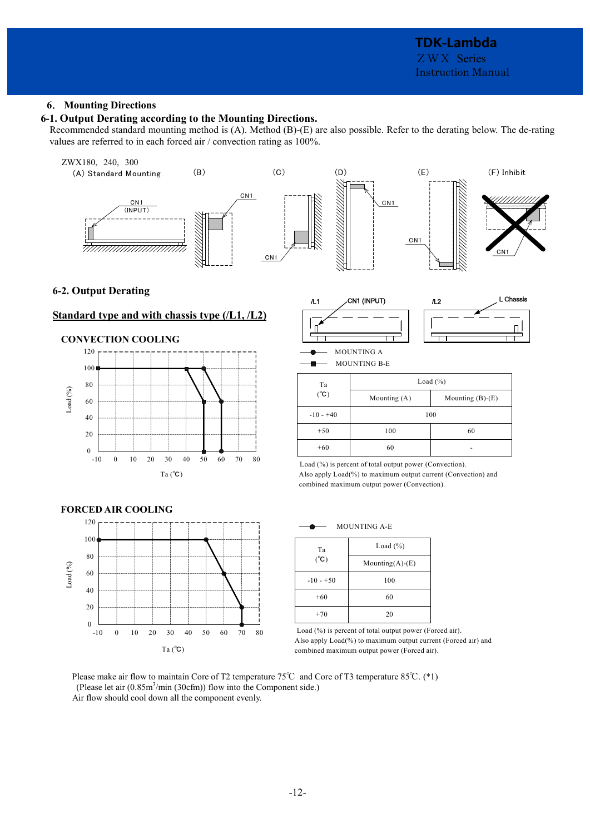# **6**. **Mounting Directions**

# **6-1. Output Derating according to the Mounting Directions.**

Recommended standard mounting method is (A). Method (B)-(E) are also possible. Refer to the derating below. The de-rating values are referred to in each forced air / convection rating as 100%.

# ZWX180, 240, 300 (A) Standard Mounting (B) (C) (D) (E) (F) Inhibit CN1 CN1 CN1 (INPUT)  $CN1$ <del>humummi</del>n CN1 C<sub>N</sub>

# **6-2. Output Derating**

# **Standard type and with chassis type (/L1, /L2)**

#### **CONVECTION COOLING**





MOUNTING B-E

| Ta            | Load $(\% )$   |                    |  |
|---------------|----------------|--------------------|--|
| $(^{\circ}C)$ | Mounting $(A)$ | Mounting $(B)-(E)$ |  |
| $-10 - +40$   | 100            |                    |  |
| $+50$         | 100            | 60                 |  |
| $+60$         | 60             |                    |  |

 Load (%) is percent of total output power (Convection). Also apply Load(%) to maximum output current (Convection) and combined maximum output power (Convection).



MOUNTING A-E

| Ta            | Load $(\%)$            |
|---------------|------------------------|
| $(^{\circ}C)$ | Mounting $(A)$ - $(E)$ |
| $-10 - +50$   | 100                    |
| $+60$         | 60                     |
| $+70$         | 20                     |

Load (%) is percent of total output power (Forced air). Also apply Load(%) to maximum output current (Forced air) and combined maximum output power (Forced air).

Please make air flow to maintain Core of T2 temperature 75℃ and Core of T3 temperature 85℃. (\*1) (Please let air (0.85m<sup>3</sup>/min (30cfm)) flow into the Component side.) Air flow should cool down all the component evenly.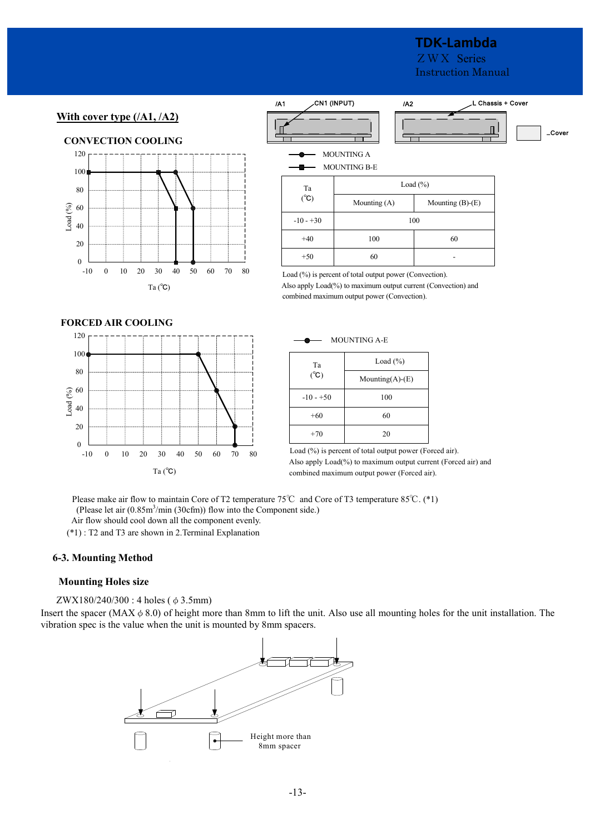# **TDK-Lambda**

ZWX Series Instruction Manual

 $...$ Cove

# **With cover type (/A1, /A2)**



| /A1 |                          | CN1 (INPUT)<br>/A2                       |                    | L Chassis + Cover |
|-----|--------------------------|------------------------------------------|--------------------|-------------------|
|     |                          |                                          |                    |                   |
|     |                          | <b>MOUNTING A</b><br><b>MOUNTING B-E</b> |                    |                   |
|     | Ta                       | Load $(\% )$                             |                    |                   |
|     | $({}^{\circ}\mathsf{C})$ | Mounting (A)                             | Mounting $(B)-(E)$ |                   |
|     | $-10 - +30$              |                                          | 100                |                   |
|     | $+40$                    | 100                                      | 60                 |                   |
|     | $+50$                    | 60                                       |                    |                   |
|     |                          |                                          |                    |                   |

Load (%) is percent of total output power (Convection).

Also apply Load(%) to maximum output current (Convection) and combined maximum output power (Convection).

#### **FORCED AIR COOLING**



| Load $(\% )$ |
|--------------|

MOUNTING A-E

| Ta                     | Load (%)               |  |  |
|------------------------|------------------------|--|--|
| $(^{\circ}\mathrm{C})$ | Mounting $(A)$ - $(E)$ |  |  |
| $-10 - +50$            | 100                    |  |  |
| $+60$                  | 60                     |  |  |
| $+70$                  | 20                     |  |  |

 Load (%) is percent of total output power (Forced air). Also apply Load(%) to maximum output current (Forced air) and combined maximum output power (Forced air).

Please make air flow to maintain Core of T2 temperature 75℃ and Core of T3 temperature 85℃. (\*1) (Please let air  $(0.85 \text{m}^3/\text{min} (30 \text{cfm}))$  flow into the Component side.)

Air flow should cool down all the component evenly.

(\*1) : T2 and T3 are shown in 2.Terminal Explanation

# **6-3. Mounting Method**

# **Mounting Holes size**

ZWX180/240/300 : 4 holes (φ3.5mm)

Insert the spacer (MAX $\phi$  8.0) of height more than 8mm to lift the unit. Also use all mounting holes for the unit installation. The vibration spec is the value when the unit is mounted by 8mm spacers.

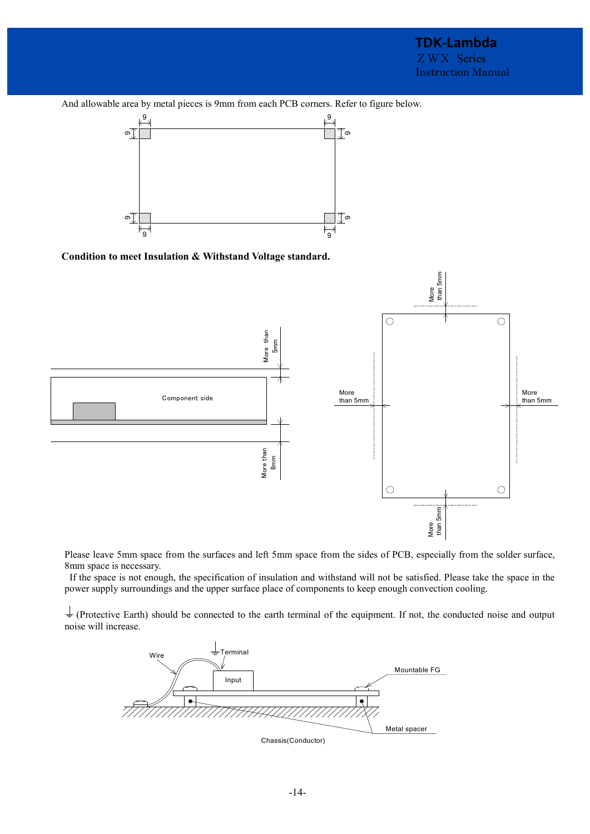And allowable area by metal pieces is 9mm from each PCB corners. Refer to figure below.







Please leave 5mm space from the surfaces and left 5mm space from the sides of PCB, especially from the solder surface, 8mm space is necessary.

 If the space is not enough, the specification of insulation and withstand will not be satisfied. Please take the space in the power supply surroundings and the upper surface place of components to keep enough convection cooling.

 $\frac{1}{x}$  (Protective Earth) should be connected to the earth terminal of the equipment. If not, the conducted noise and output noise will increase.

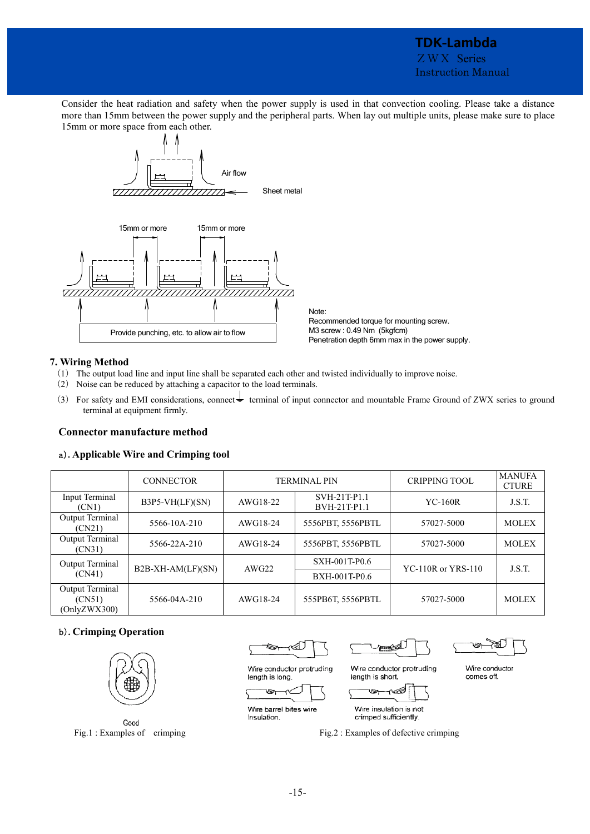# **TDK-Lambda**  ZWX Series Instruction Manual

Consider the heat radiation and safety when the power supply is used in that convection cooling. Please take a distance more than 15mm between the power supply and the peripheral parts. When lay out multiple units, please make sure to place 15mm or more space from each other.



Note: Recommended torque for mounting screw. M3 screw : 0.49 Nm (5kgfcm) Penetration depth 6mm max in the power supply.

# **7. Wiring Method**

- (1) The output load line and input line shall be separated each other and twisted individually to improve noise.
- (2) Noise can be reduced by attaching a capacitor to the load terminals.
- (3) For safety and EMI considerations, connect  $\frac{1}{\epsilon}$  terminal of input connector and mountable Frame Ground of ZWX series to ground terminal at equipment firmly.

# **Connector manufacture method**

# a)**. Applicable Wire and Crimping tool**

|                                           | <b>CONNECTOR</b>  | <b>TERMINAL PIN</b> |                              | <b>CRIPPING TOOL</b>      | <b>MANUFA</b><br><b>CTURE</b> |
|-------------------------------------------|-------------------|---------------------|------------------------------|---------------------------|-------------------------------|
| Input Terminal<br>(CN1)                   | $B3P5-VH(LF)(SN)$ | AWG18-22            | SVH-21T-P1.1<br>BVH-21T-P1.1 | $YC-160R$                 | J.S.T.                        |
| Output Terminal<br>(CN21)                 | 5566-10A-210      | AWG18-24            | 5556PBT, 5556PBTL            | 57027-5000                | <b>MOLEX</b>                  |
| Output Terminal<br>(CN31)                 | 5566-22A-210      | AWG18-24            | 5556PBT, 5556PBTL            | 57027-5000                | <b>MOLEX</b>                  |
| Output Terminal                           |                   | AWG22               | SXH-001T-P0.6                | <b>YC-110R</b> or YRS-110 | J.S.T.                        |
| (CN41)                                    | B2B-XH-AM(LF)(SN) |                     | BXH-001T-P0.6                |                           |                               |
| Output Terminal<br>(CN51)<br>(OnlyZWX300) | 5566-04A-210      | AWG18-24            | 555PB6T, 5556PBTL            | 57027-5000                | <b>MOLEX</b>                  |

# b)**. Crimping Operation**



Good Fig.1: Examples of crimping

гÁ Ø

Wire conductor protruding

E

Wire conductor comes off.

Wire barrel bites wire insulation.

length is long.

Ð

Wire insulation is not crimped sufficiently.

length is short.



Wire conductor protruding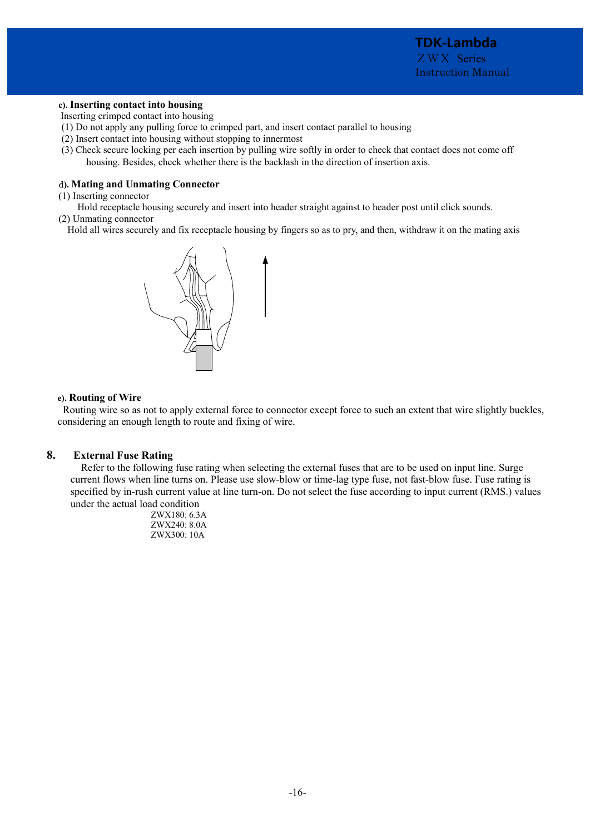# **c). Inserting contact into housing**

Inserting crimped contact into housing

- (1) Do not apply any pulling force to crimped part, and insert contact parallel to housing
- (2) Insert contact into housing without stopping to innermost
- (3) Check secure locking per each insertion by pulling wire softly in order to check that contact does not come off housing. Besides, check whether there is the backlash in the direction of insertion axis.

# d**). Mating and Unmating Connector**

(1) Inserting connector

 Hold receptacle housing securely and insert into header straight against to header post until click sounds. (2) Unmating connector

Hold all wires securely and fix receptacle housing by fingers so as to pry, and then, withdraw it on the mating axis



# **e). Routing of Wire**

 Routing wire so as not to apply external force to connector except force to such an extent that wire slightly buckles, considering an enough length to route and fixing of wire.

# **8. External Fuse Rating**

 Refer to the following fuse rating when selecting the external fuses that are to be used on input line. Surge current flows when line turns on. Please use slow-blow or time-lag type fuse, not fast-blow fuse. Fuse rating is specified by in-rush current value at line turn-on. Do not select the fuse according to input current (RMS.) values under the actual load condition

 ZWX180: 6.3A ZWX240: 8.0A ZWX300: 10A